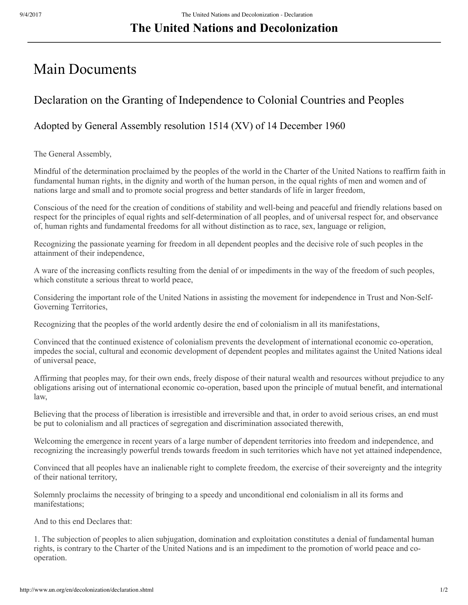## **The United Nations and Decolonization**

# Main Documents

### Declaration on the Granting of Independence to Colonial Countries and Peoples

#### Adopted by General Assembly resolution 1514 (XV) of 14 December 1960

The General Assembly,

Mindful of the determination proclaimed by the peoples of the world in the Charter of the United Nations to reaffirm faith in fundamental human rights, in the dignity and worth of the human person, in the equal rights of men and women and of nations large and small and to promote social progress and better standards of life in larger freedom,

Conscious of the need for the creation of conditions of stability and well-being and peaceful and friendly relations based on respect for the principles of equal rights and self-determination of all peoples, and of universal respect for, and observance of, human rights and fundamental freedoms for all without distinction as to race, sex, language or religion,

Recognizing the passionate yearning for freedom in all dependent peoples and the decisive role of such peoples in the attainment of their independence,

A ware of the increasing conflicts resulting from the denial of or impediments in the way of the freedom of such peoples, which constitute a serious threat to world peace,

Considering the important role of the United Nations in assisting the movement for independence in Trust and Non-Self-Governing Territories,

Recognizing that the peoples of the world ardently desire the end of colonialism in all its manifestations,

Convinced that the continued existence of colonialism prevents the development of international economic co-operation, impedes the social, cultural and economic development of dependent peoples and militates against the United Nations ideal of universal peace,

Affirming that peoples may, for their own ends, freely dispose of their natural wealth and resources without prejudice to any obligations arising out of international economic cooperation, based upon the principle of mutual benefit, and international law,

Believing that the process of liberation is irresistible and irreversible and that, in order to avoid serious crises, an end must be put to colonialism and all practices of segregation and discrimination associated therewith,

Welcoming the emergence in recent years of a large number of dependent territories into freedom and independence, and recognizing the increasingly powerful trends towards freedom in such territories which have not yet attained independence,

Convinced that all peoples have an inalienable right to complete freedom, the exercise of their sovereignty and the integrity of their national territory,

Solemnly proclaims the necessity of bringing to a speedy and unconditional end colonialism in all its forms and manifestations;

And to this end Declares that:

1. The subjection of peoples to alien subjugation, domination and exploitation constitutes a denial of fundamental human rights, is contrary to the Charter of the United Nations and is an impediment to the promotion of world peace and cooperation.